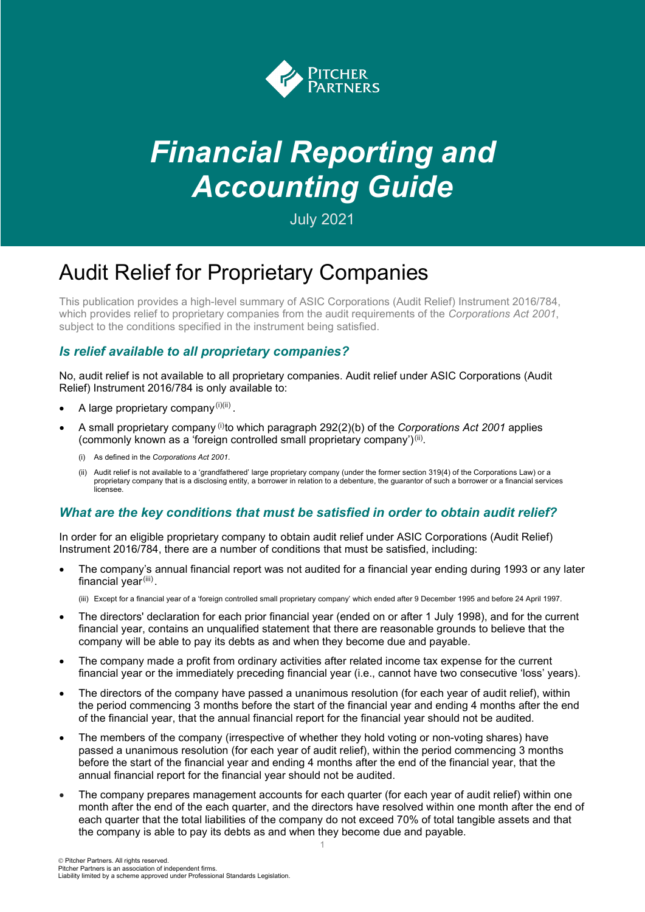

# *Financial Reporting and Accounting Guide*

July 2021

# Audit Relief for Proprietary Companies

This publication provides a high-level summary of ASIC Corporations (Audit Relief) Instrument 2016/784, which provides relief to proprietary companies from the audit requirements of the *Corporations Act 2001*, subject to the conditions specified in the instrument being satisfied.

## *Is relief available to all proprietary companies?*

No, audit relief is not available to all proprietary companies. Audit relief under ASIC Corporations (Audit Relief) Instrument 2016/784 is only available to:

- A large proprietary company  $(i)(ii)$ .
- A small proprietary company  $(i)$  to which paragraph 292(2)(b) of the *Corporations Act 2001* applies (commonly known as a 'foreign controlled small proprietary company') $^{\text{(ii)}}$ .
	- (i) As defined in the *Corporations Act 2001*.
	- (ii) Audit relief is not available to a 'grandfathered' large proprietary company (under the former section 319(4) of the Corporations Law) or a proprietary company that is a disclosing entity, a borrower in relation to a debenture, the guarantor of such a borrower or a financial services licensee.

### *What are the key conditions that must be satisfied in order to obtain audit relief?*

In order for an eligible proprietary company to obtain audit relief under ASIC Corporations (Audit Relief) Instrument 2016/784, there are a number of conditions that must be satisfied, including:

• The company's annual financial report was not audited for a financial year ending during 1993 or any later financial year<sup>(iii)</sup>.

(iii) Except for a financial year of a 'foreign controlled small proprietary company' which ended after 9 December 1995 and before 24 April 1997.

- The directors' declaration for each prior financial year (ended on or after 1 July 1998), and for the current financial year, contains an unqualified statement that there are reasonable grounds to believe that the company will be able to pay its debts as and when they become due and payable.
- The company made a profit from ordinary activities after related income tax expense for the current financial year or the immediately preceding financial year (i.e., cannot have two consecutive 'loss' years).
- The directors of the company have passed a unanimous resolution (for each year of audit relief), within the period commencing 3 months before the start of the financial year and ending 4 months after the end of the financial year, that the annual financial report for the financial year should not be audited.
- The members of the company (irrespective of whether they hold voting or non-voting shares) have passed a unanimous resolution (for each year of audit relief), within the period commencing 3 months before the start of the financial year and ending 4 months after the end of the financial year, that the annual financial report for the financial year should not be audited.
- The company prepares management accounts for each quarter (for each year of audit relief) within one month after the end of the each quarter, and the directors have resolved within one month after the end of each quarter that the total liabilities of the company do not exceed 70% of total tangible assets and that the company is able to pay its debts as and when they become due and payable.